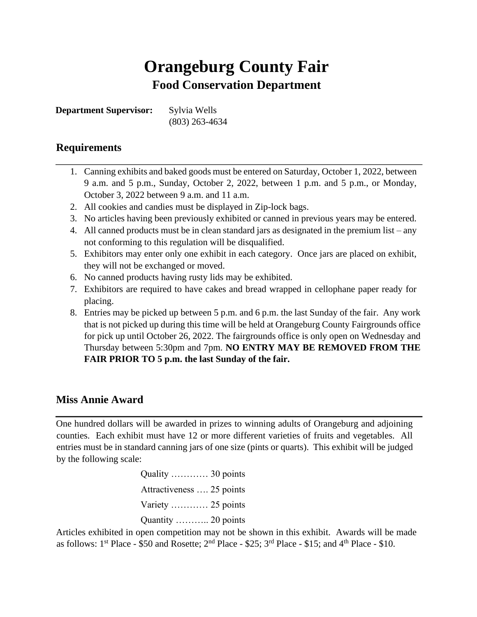# **Orangeburg County Fair Food Conservation Department**

**Department Supervisor:** Sylvia Wells

(803) 263-4634

## **Requirements**

- 1. Canning exhibits and baked goods must be entered on Saturday, October 1, 2022, between 9 a.m. and 5 p.m., Sunday, October 2, 2022, between 1 p.m. and 5 p.m., or Monday, October 3, 2022 between 9 a.m. and 11 a.m.
- 2. All cookies and candies must be displayed in Zip-lock bags.
- 3. No articles having been previously exhibited or canned in previous years may be entered.
- 4. All canned products must be in clean standard jars as designated in the premium list any not conforming to this regulation will be disqualified.
- 5. Exhibitors may enter only one exhibit in each category. Once jars are placed on exhibit, they will not be exchanged or moved.
- 6. No canned products having rusty lids may be exhibited.
- 7. Exhibitors are required to have cakes and bread wrapped in cellophane paper ready for placing.
- 8. Entries may be picked up between 5 p.m. and 6 p.m. the last Sunday of the fair. Any work that is not picked up during this time will be held at Orangeburg County Fairgrounds office for pick up until October 26, 2022. The fairgrounds office is only open on Wednesday and Thursday between 5:30pm and 7pm. **NO ENTRY MAY BE REMOVED FROM THE FAIR PRIOR TO 5 p.m. the last Sunday of the fair.**

## **Miss Annie Award**

One hundred dollars will be awarded in prizes to winning adults of Orangeburg and adjoining counties. Each exhibit must have 12 or more different varieties of fruits and vegetables. All entries must be in standard canning jars of one size (pints or quarts). This exhibit will be judged by the following scale:

> Quality ………… 30 points Attractiveness …. 25 points Variety ………… 25 points Quantity ……….. 20 points

Articles exhibited in open competition may not be shown in this exhibit. Awards will be made as follows:  $1^{st}$  Place - \$50 and Rosette;  $2^{nd}$  Place - \$25;  $3^{rd}$  Place - \$15; and  $4^{th}$  Place - \$10.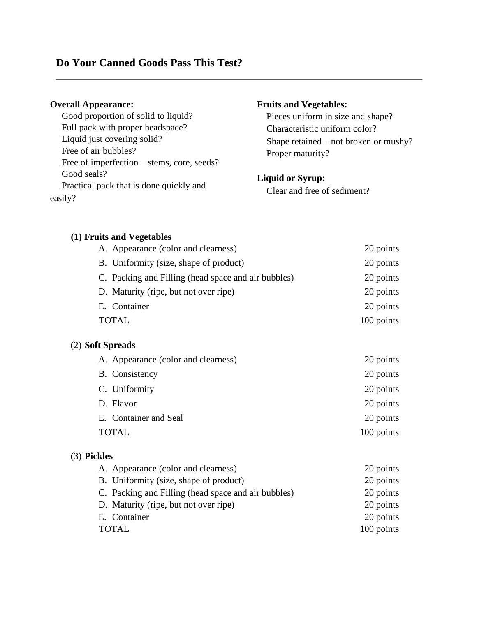## **Do Your Canned Goods Pass This Test?**

## **Overall Appearance:**

 Good proportion of solid to liquid? Full pack with proper headspace? Liquid just covering solid? Free of air bubbles? Free of imperfection – stems, core, seeds? Good seals? Practical pack that is done quickly and easily?

## **Fruits and Vegetables:**

 Pieces uniform in size and shape? Characteristic uniform color? Shape retained – not broken or mushy? Proper maturity?

## **Liquid or Syrup:**

Clear and free of sediment?

## **(1) Fruits and Vegetables**

| A. Appearance (color and clearness)                 | 20 points  |
|-----------------------------------------------------|------------|
| B. Uniformity (size, shape of product)              | 20 points  |
| C. Packing and Filling (head space and air bubbles) | 20 points  |
| D. Maturity (ripe, but not over ripe)               | 20 points  |
| E. Container                                        | 20 points  |
| TOTAL                                               | 100 points |

## (2) **Soft Spreads**

| A. Appearance (color and clearness) | 20 points  |
|-------------------------------------|------------|
| B. Consistency                      | 20 points  |
| C. Uniformity                       | 20 points  |
| D. Flavor                           | 20 points  |
| E. Container and Seal               | 20 points  |
| <b>TOTAL</b>                        | 100 points |
|                                     |            |

## (3) **Pickles**

| A. Appearance (color and clearness)                 | 20 points  |
|-----------------------------------------------------|------------|
| B. Uniformity (size, shape of product)              | 20 points  |
| C. Packing and Filling (head space and air bubbles) | 20 points  |
| D. Maturity (ripe, but not over ripe)               | 20 points  |
| E. Container                                        | 20 points  |
| <b>TOTAL</b>                                        | 100 points |
|                                                     |            |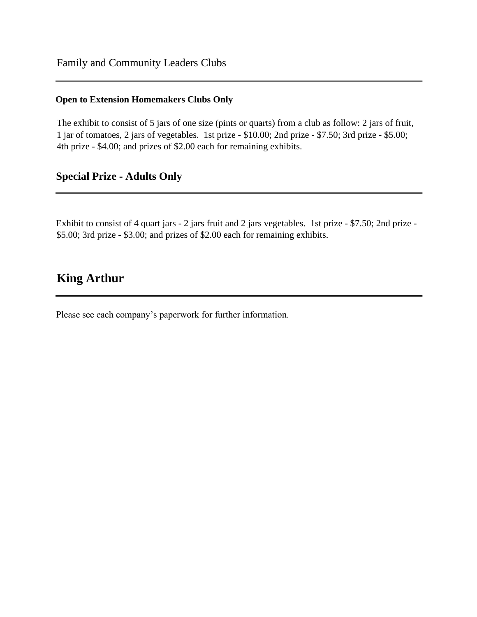## **Open to Extension Homemakers Clubs Only**

The exhibit to consist of 5 jars of one size (pints or quarts) from a club as follow: 2 jars of fruit, 1 jar of tomatoes, 2 jars of vegetables. 1st prize - \$10.00; 2nd prize - \$7.50; 3rd prize - \$5.00; 4th prize - \$4.00; and prizes of \$2.00 each for remaining exhibits.

## **Special Prize - Adults Only**

Exhibit to consist of 4 quart jars - 2 jars fruit and 2 jars vegetables. 1st prize - \$7.50; 2nd prize - \$5.00; 3rd prize - \$3.00; and prizes of \$2.00 each for remaining exhibits.

# **King Arthur**

Please see each company's paperwork for further information.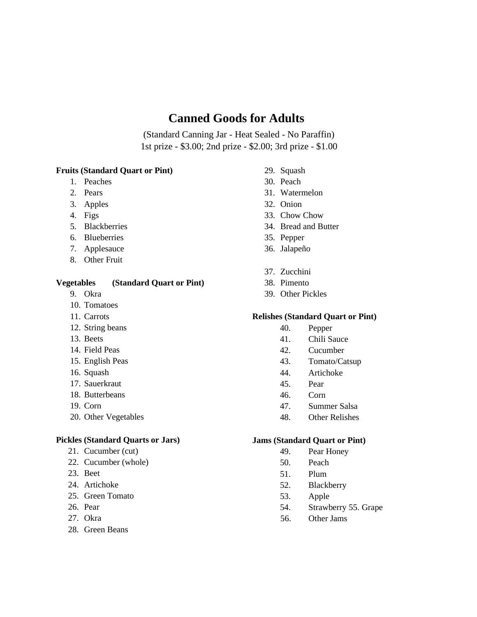# **Canned Goods for Adults**

(Standard Canning Jar - Heat Sealed - No Paraffin) 1st prize - \$3.00; 2nd prize - \$2.00; 3rd prize - \$1.00

#### **Fruits (Standard Quart or Pint)**

- 1. Peaches
- 2. Pears
- 3. Apples
- 4. Figs
- 5. Blackberries
- 6. Blueberries
- 7. Applesauce
- 8. Other Fruit

### **Vegetables (Standard Quart or Pint)**

- 9. Okra
- 10. Tomatoes
- 11. Carrots
- 12. String beans
- 13. Beets
- 14. Field Peas
- 15. English Peas
- 16. Squash
- 17. Sauerkraut
- 18. Butterbeans
- 19. Corn
- 20. Other Vegetables

#### **Pickles (Standard Quarts or Jars)**

- 21. Cucumber (cut)
- 22. Cucumber (whole)
- 23. Beet
- 24. Artichoke
- 25. Green Tomato
- 26. Pear
- 27. Okra
- 28. Green Beans
- 29. Squash
- 30. Peach
- 31. Watermelon
- 32. Onion
- 33. Chow Chow
- 34. Bread and Butter
- 35. Pepper
- 36. Jalapeño
- 37. Zucchini
- 38. Pimento
- 39. Other Pickles

### **Relishes (Standard Quart or Pint)**

- 40. Pepper
- 41. Chili Sauce
- 42. Cucumber
- 43. Tomato/Catsup
- 44. Artichoke
- 45. Pear
- 46. Corn
- 47. Summer Salsa
- 48. Other Relishes

#### **Jams (Standard Quart or Pint)**

- 49. Pear Honey
- 50. Peach
- 51. Plum
- 52. Blackberry
- 53. Apple
- 54. Strawberry 55. Grape
- 56. Other Jams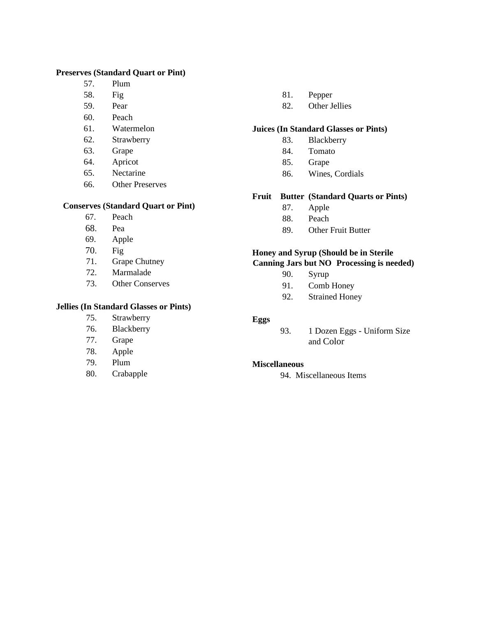### **Preserves (Standard Quart or Pint)**

- 57. Plum
- 58. Fig
- 59. Pear
- 60. Peach
- 61. Watermelon
- 62. Strawberry
- 63. Grape
- 64. Apricot
- 65. Nectarine
- 66. Other Preserves

#### **Conserves (Standard Quart or Pint)**

- 67. Peach
- 68. Pea
- 69. Apple
- 70. Fig
- 71. Grape Chutney
- 72. Marmalade
- 73. Other Conserves

### **Jellies (In Standard Glasses or Pints)**

- 75. Strawberry
- 76. Blackberry
- 77. Grape
- 78. Apple
- 79. Plum
- 80. Crabapple

#### 81. Pepper

82. Other Jellies

## **Juices (In Standard Glasses or Pints)**

- 83. Blackberry
- 84. Tomato
- 85. Grape
- 86. Wines, Cordials

#### **Fruit Butter (Standard Quarts or Pints)**

- 87. Apple
- 88. Peach
- 89. Other Fruit Butter

### **Honey and Syrup (Should be in Sterile Canning Jars but NO Processing is needed)**

- - 90. Syrup
- 91. Comb Honey
- 92. Strained Honey

#### **Eggs**

93. 1 Dozen Eggs - Uniform Size and Color

#### **Miscellaneous**

94. Miscellaneous Items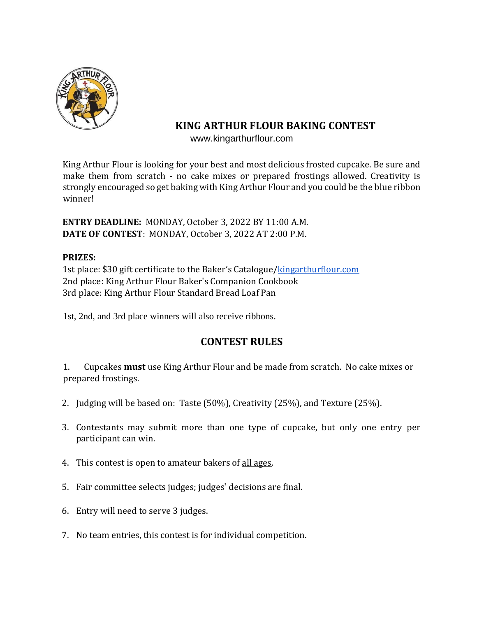

# **KING ARTHUR FLOUR BAKING CONTEST**

www.kingarthurflour.com

King Arthur Flour is looking for your best and most delicious frosted cupcake. Be sure and make them from scratch - no cake mixes or prepared frostings allowed. Creativity is strongly encouraged so get baking with King Arthur Flour and you could be the blue ribbon winner!

**ENTRY DEADLINE:** MONDAY, October 3, 2022 BY 11:00 A.M. **DATE OF CONTEST**: MONDAY, October 3, 2022 AT 2:00 P.M.

## **PRIZES:**

1st place: \$30 gift certificate to the Baker's Catalogue/[kingarthurflour.com](http://kingarthurflour.com/) 2nd place: King Arthur Flour Baker's Companion Cookbook 3rd place: King Arthur Flour Standard Bread Loaf Pan

1st, 2nd, and 3rd place winners will also receive ribbons.

## **CONTEST RULES**

1. Cupcakes **must** use King Arthur Flour and be made from scratch. No cake mixes or prepared frostings.

- 2. Judging will be based on: Taste (50%), Creativity (25%), and Texture (25%).
- 3. Contestants may submit more than one type of cupcake, but only one entry per participant can win.
- 4. This contest is open to amateur bakers of all ages.
- 5. Fair committee selects judges; judges' decisions are final.
- 6. Entry will need to serve 3 judges.
- 7. No team entries, this contest is for individual competition.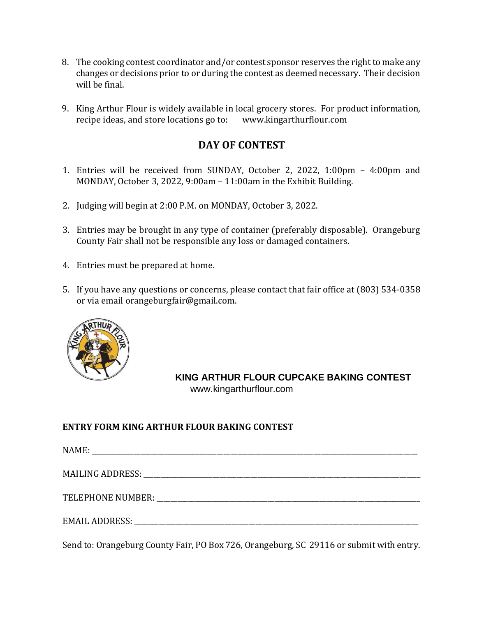- 8. The cooking contest coordinator and/or contest sponsor reserves the right to make any changes or decisions prior to or during the contest as deemed necessary. Their decision will be final.
- 9. King Arthur Flour is widely available in local grocery stores. For product information, recipe ideas, and store locations go to: www.kingarthurflour.com

## **DAY OF CONTEST**

- 1. Entries will be received from SUNDAY, October 2, 2022, 1:00pm 4:00pm and MONDAY, October 3, 2022, 9:00am – 11:00am in the Exhibit Building.
- 2. Judging will begin at 2:00 P.M. on MONDAY, October 3, 2022.
- 3. Entries may be brought in any type of container (preferably disposable). Orangeburg County Fair shall not be responsible any loss or damaged containers.
- 4. Entries must be prepared at home.
- 5. If you have any questions or concerns, please contact that fair office at (803) 534-0358 or via email orangeburgfair@gmail.com.



**KING ARTHUR FLOUR CUPCAKE BAKING CONTEST** www.kingarthurflour.com

## **ENTRY FORM KING ARTHUR FLOUR BAKING CONTEST**

| TELEPHONE NUMBER: National Contract of the Number of Telephone Contract of the Number of Telephone Contract of |
|----------------------------------------------------------------------------------------------------------------|
|                                                                                                                |

Send to: Orangeburg County Fair, PO Box 726, Orangeburg, SC 29116 or submit with entry.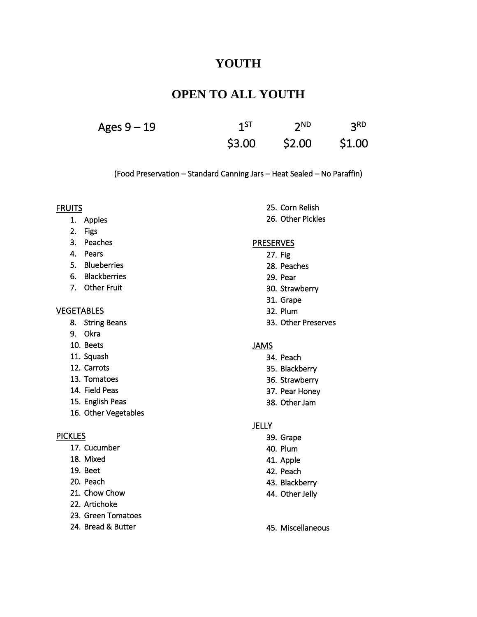# **YOUTH**

# **OPEN TO ALL YOUTH**

| Ages 9 – 19 | 1 <sub>5</sub> | 2 <sub>ND</sub> | 3 <sub>RD</sub> |
|-------------|----------------|-----------------|-----------------|
|             | \$3.00         | \$2.00          | \$1.00          |

(Food Preservation – Standard Canning Jars – Heat Sealed – No Paraffin)

#### **FRUITS**

- 1. Apples
- 2. Figs
- 3. Peaches
- 4. Pears
- 5. Blueberries
- 6. Blackberries
- 7. Other Fruit

#### **VEGETABLES**

- 8. String Beans
- 9. Okra
- 10. Beets
- 11. Squash
- 12. Carrots
- 13. Tomatoes
- 14. Field Peas
- 15. English Peas
- 16. Other Vegetables

#### **PICKLES**

- 17. Cucumber
- 18. Mixed
- 19. Beet
- 20. Peach
- 21. Chow Chow
- 22. Artichoke
- 23. Green Tomatoes
- 24. Bread & Butter

25. Corn Relish 26. Other Pickles

#### **PRESERVES**

- 27. Fig
- 28. Peaches
- 29. Pear
- 30. Strawberry
- 31. Grape
- 32. Plum
- 33. Other Preserves

### JAMS

- 34. Peach
- 35. Blackberry
- 36. Strawberry
- 37. Pear Honey
- 38. Other Jam

### **JELLY**

- 39. Grape
- 40. Plum
- 41. Apple
- 42. Peach
- 43. Blackberry
- 44. Other Jelly
- 45. Miscellaneous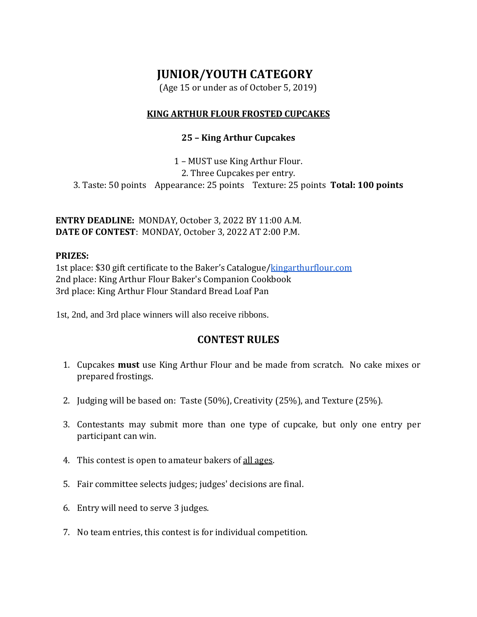# **JUNIOR/YOUTH CATEGORY**

(Age 15 or under as of October 5, 2019)

## **KING ARTHUR FLOUR FROSTED CUPCAKES**

## **25 – King Arthur Cupcakes**

1 – MUST use King Arthur Flour.

2. Three Cupcakes per entry.

3. Taste: 50 points Appearance: 25 points Texture: 25 points **Total: 100 points**

**ENTRY DEADLINE:** MONDAY, October 3, 2022 BY 11:00 A.M. **DATE OF CONTEST**: MONDAY, October 3, 2022 AT 2:00 P.M.

## **PRIZES:**

1st place: \$30 gift certificate to the Baker's Catalogue/[kingarthurflour.com](http://kingarthurflour.com/) 2nd place: King Arthur Flour Baker's Companion Cookbook 3rd place: King Arthur Flour Standard Bread Loaf Pan

1st, 2nd, and 3rd place winners will also receive ribbons.

## **CONTEST RULES**

- 1. Cupcakes **must** use King Arthur Flour and be made from scratch. No cake mixes or prepared frostings.
- 2. Judging will be based on: Taste (50%), Creativity (25%), and Texture (25%).
- 3. Contestants may submit more than one type of cupcake, but only one entry per participant can win.
- 4. This contest is open to amateur bakers of all ages.
- 5. Fair committee selects judges; judges' decisions are final.
- 6. Entry will need to serve 3 judges.
- 7. No team entries, this contest is for individual competition.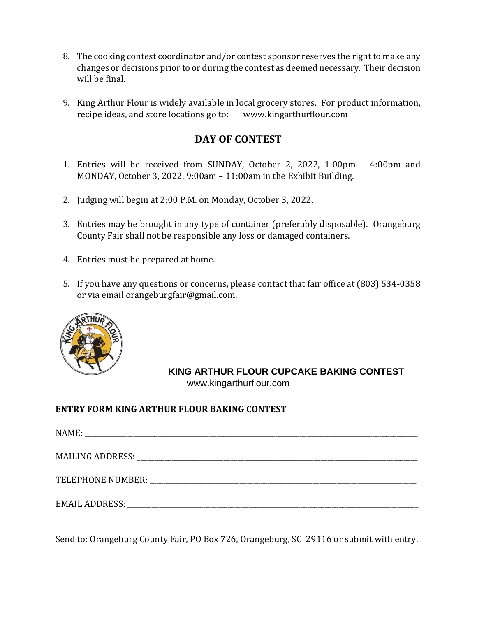- 8. The cooking contest coordinator and/or contest sponsor reserves the right to make any changes or decisions prior to or during the contest as deemed necessary. Their decision will be final.
- 9. King Arthur Flour is widely available in local grocery stores. For product information, recipe ideas, and store locations go to: www.kingarthurflour.com

## **DAY OF CONTEST**

- 1. Entries will be received from SUNDAY, October 2, 2022, 1:00pm 4:00pm and MONDAY, October 3, 2022, 9:00am – 11:00am in the Exhibit Building.
- 2. Judging will begin at 2:00 P.M. on Monday, October 3, 2022.
- 3. Entries may be brought in any type of container (preferably disposable). Orangeburg County Fair shall not be responsible any loss or damaged containers.
- 4. Entries must be prepared at home.
- 5. If you have any questions or concerns, please contact that fair office at (803) 534-0358 or via email orangeburgfair@gmail.com.



**KING ARTHUR FLOUR CUPCAKE BAKING CONTEST** www.kingarthurflour.com

## **ENTRY FORM KING ARTHUR FLOUR BAKING CONTEST**

Send to: Orangeburg County Fair, PO Box 726, Orangeburg, SC 29116 or submit with entry.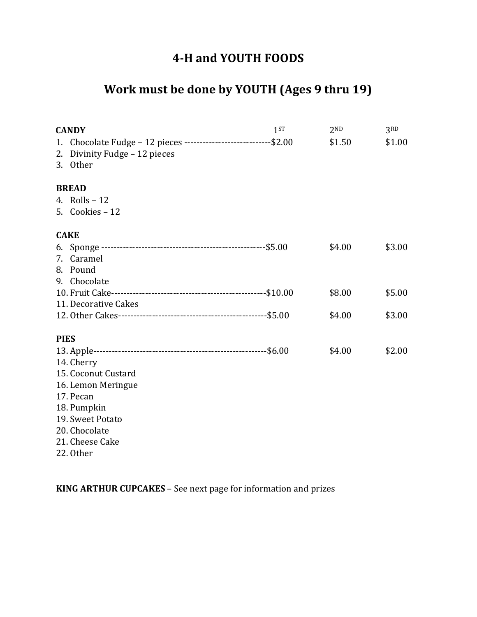# **4-H and YOUTH FOODS**

# **Work must be done by YOUTH (Ages 9 thru 19)**

| <b>CANDY</b>                                                                                                                                             |                                                                  | 1 <sup>ST</sup> | 2 <sub>ND</sub> | 3 <sub>RD</sub> |
|----------------------------------------------------------------------------------------------------------------------------------------------------------|------------------------------------------------------------------|-----------------|-----------------|-----------------|
| 1.<br>2.<br>Divinity Fudge - 12 pieces<br>3. Other                                                                                                       | Chocolate Fudge - 12 pieces ----------------------------- \$2.00 |                 | \$1.50          | \$1.00          |
| <b>BREAD</b><br>4. Rolls $-12$<br>5. Cookies - 12                                                                                                        |                                                                  |                 |                 |                 |
| <b>CAKE</b>                                                                                                                                              |                                                                  |                 |                 |                 |
| 7. Caramel<br>8. Pound                                                                                                                                   |                                                                  |                 | \$4.00          | \$3.00          |
| 9. Chocolate                                                                                                                                             |                                                                  |                 |                 |                 |
|                                                                                                                                                          |                                                                  |                 | \$8.00          | \$5.00          |
| 11. Decorative Cakes                                                                                                                                     |                                                                  |                 |                 |                 |
|                                                                                                                                                          |                                                                  |                 | \$4.00          | \$3.00          |
| <b>PIES</b>                                                                                                                                              |                                                                  |                 |                 |                 |
| 14. Cherry<br>15. Coconut Custard<br>16. Lemon Meringue<br>17. Pecan<br>18. Pumpkin<br>19. Sweet Potato<br>20. Chocolate<br>21. Cheese Cake<br>22. Other |                                                                  |                 |                 |                 |
|                                                                                                                                                          |                                                                  |                 |                 |                 |

**KING ARTHUR CUPCAKES** – See next page for information and prizes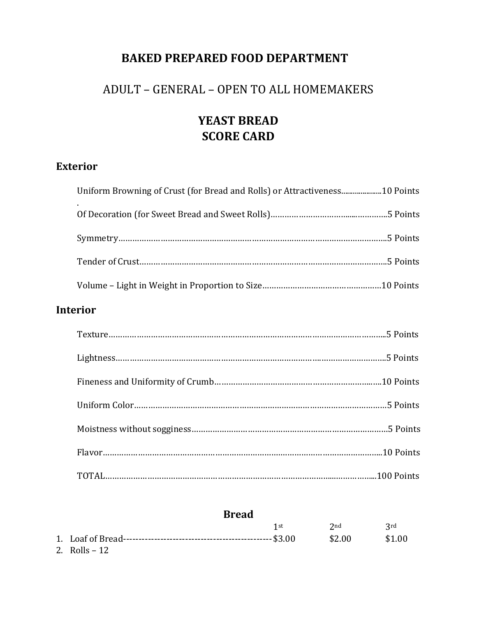# **BAKED PREPARED FOOD DEPARTMENT**

# ADULT – GENERAL – OPEN TO ALL HOMEMAKERS

# **YEAST BREAD SCORE CARD**

# **Exterior**

| Uniform Browning of Crust (for Bread and Rolls) or Attractiveness10 Points |  |
|----------------------------------------------------------------------------|--|
|                                                                            |  |
|                                                                            |  |
|                                                                            |  |
|                                                                            |  |

# **Interior**

## **Bread**

|                | 1st | $2nd$ $2rd$ |        |
|----------------|-----|-------------|--------|
|                |     | \$2.00      | \$1.00 |
| 2. Rolls $-12$ |     |             |        |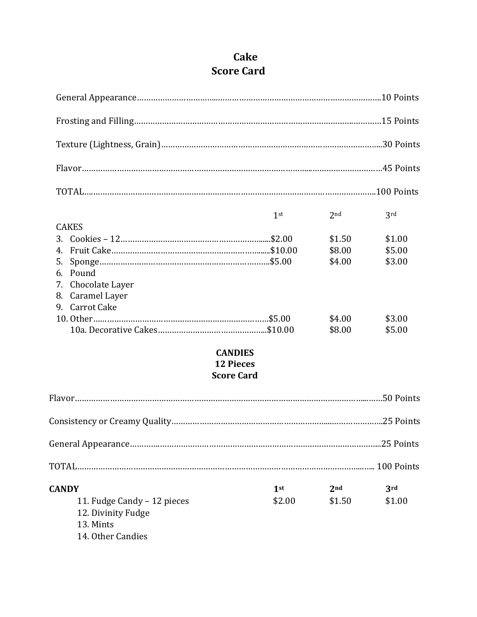# **Cake Score Card**

| <b>CAKES</b><br>4.<br>6. Pound<br>Chocolate Layer<br>7.<br>Caramel Layer<br>8. | 1 <sup>st</sup>                                         | 2 <sub>nd</sub><br>\$1.50<br>\$8.00<br>\$4.00 | 3rd<br>\$1.00<br>\$5.00<br>\$3.00 |
|--------------------------------------------------------------------------------|---------------------------------------------------------|-----------------------------------------------|-----------------------------------|
| 9. Carrot Cake                                                                 |                                                         | \$4.00<br>\$8.00                              | \$3.00<br>\$5.00                  |
|                                                                                | <b>CANDIES</b><br><b>12 Pieces</b><br><b>Score Card</b> |                                               |                                   |
|                                                                                |                                                         |                                               |                                   |
|                                                                                |                                                         |                                               |                                   |
|                                                                                |                                                         |                                               |                                   |
|                                                                                |                                                         |                                               |                                   |
| <b>CANDY</b><br>11. Fudge Candy - 12 pieces<br>12. Divinity Fudge<br>13. Mints | 1 <sup>st</sup><br>\$2.00                               | 2 <sub>nd</sub><br>\$1.50                     | 3rd<br>\$1.00                     |

14. Other Candies